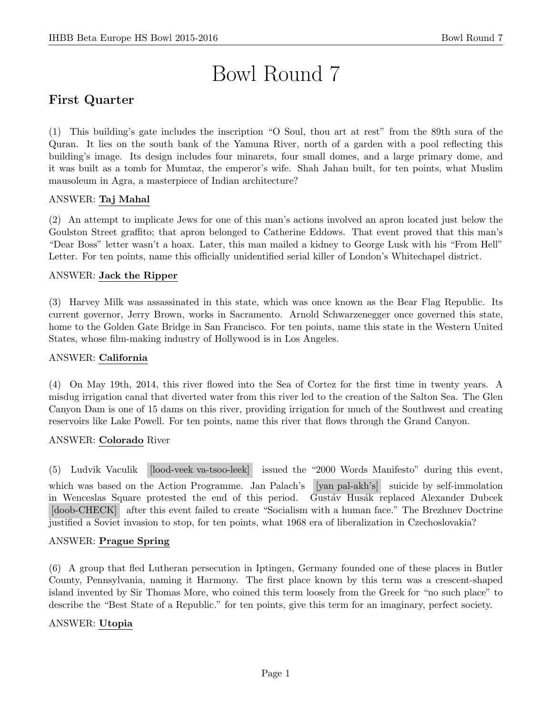# Bowl Round 7

# First Quarter

(1) This building's gate includes the inscription "O Soul, thou art at rest" from the 89th sura of the Quran. It lies on the south bank of the Yamuna River, north of a garden with a pool reflecting this building's image. Its design includes four minarets, four small domes, and a large primary dome, and it was built as a tomb for Mumtaz, the emperor's wife. Shah Jahan built, for ten points, what Muslim mausoleum in Agra, a masterpiece of Indian architecture?

# ANSWER: Taj Mahal

(2) An attempt to implicate Jews for one of this man's actions involved an apron located just below the Goulston Street graffito; that apron belonged to Catherine Eddows. That event proved that this man's "Dear Boss" letter wasn't a hoax. Later, this man mailed a kidney to George Lusk with his "From Hell" Letter. For ten points, name this officially unidentified serial killer of London's Whitechapel district.

#### ANSWER: Jack the Ripper

(3) Harvey Milk was assassinated in this state, which was once known as the Bear Flag Republic. Its current governor, Jerry Brown, works in Sacramento. Arnold Schwarzenegger once governed this state, home to the Golden Gate Bridge in San Francisco. For ten points, name this state in the Western United States, whose film-making industry of Hollywood is in Los Angeles.

#### ANSWER: California

(4) On May 19th, 2014, this river flowed into the Sea of Cortez for the first time in twenty years. A misdug irrigation canal that diverted water from this river led to the creation of the Salton Sea. The Glen Canyon Dam is one of 15 dams on this river, providing irrigation for much of the Southwest and creating reservoirs like Lake Powell. For ten points, name this river that flows through the Grand Canyon.

#### ANSWER: Colorado River

(5) Ludvik Vaculik [lood-veek va-tsoo-leek] issued the "2000 Words Manifesto" during this event, which was based on the Action Programme. Jan Palach's [yan pal-akh's] suicide by self-immolation in Wenceslas Square protested the end of this period. Gustáv Husák replaced Alexander Dubcek [doob-CHECK] after this event failed to create "Socialism with a human face." The Brezhnev Doctrine justified a Soviet invasion to stop, for ten points, what 1968 era of liberalization in Czechoslovakia?

#### ANSWER: Prague Spring

(6) A group that fled Lutheran persecution in Iptingen, Germany founded one of these places in Butler County, Pennsylvania, naming it Harmony. The first place known by this term was a crescent-shaped island invented by Sir Thomas More, who coined this term loosely from the Greek for "no such place" to describe the "Best State of a Republic." for ten points, give this term for an imaginary, perfect society.

# ANSWER: Utopia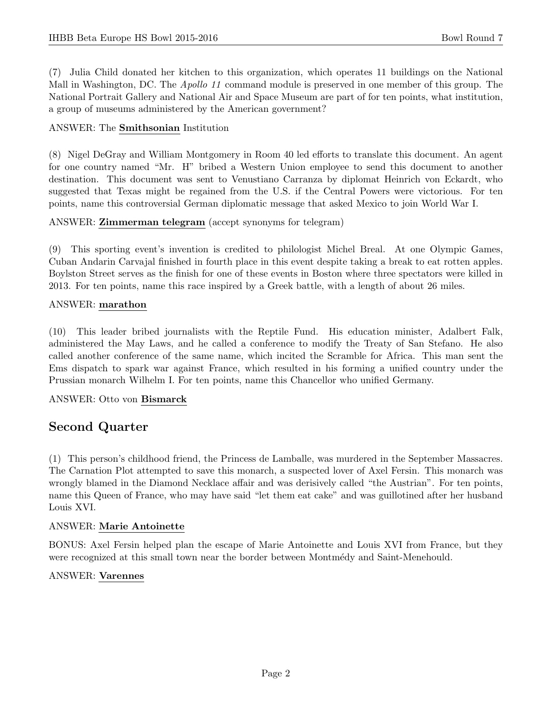(7) Julia Child donated her kitchen to this organization, which operates 11 buildings on the National Mall in Washington, DC. The *Apollo 11* command module is preserved in one member of this group. The National Portrait Gallery and National Air and Space Museum are part of for ten points, what institution, a group of museums administered by the American government?

# ANSWER: The Smithsonian Institution

(8) Nigel DeGray and William Montgomery in Room 40 led efforts to translate this document. An agent for one country named "Mr. H" bribed a Western Union employee to send this document to another destination. This document was sent to Venustiano Carranza by diplomat Heinrich von Eckardt, who suggested that Texas might be regained from the U.S. if the Central Powers were victorious. For ten points, name this controversial German diplomatic message that asked Mexico to join World War I.

# ANSWER: Zimmerman telegram (accept synonyms for telegram)

(9) This sporting event's invention is credited to philologist Michel Breal. At one Olympic Games, Cuban Andarin Carvajal finished in fourth place in this event despite taking a break to eat rotten apples. Boylston Street serves as the finish for one of these events in Boston where three spectators were killed in 2013. For ten points, name this race inspired by a Greek battle, with a length of about 26 miles.

# ANSWER: marathon

(10) This leader bribed journalists with the Reptile Fund. His education minister, Adalbert Falk, administered the May Laws, and he called a conference to modify the Treaty of San Stefano. He also called another conference of the same name, which incited the Scramble for Africa. This man sent the Ems dispatch to spark war against France, which resulted in his forming a unified country under the Prussian monarch Wilhelm I. For ten points, name this Chancellor who unified Germany.

# ANSWER: Otto von Bismarck

# Second Quarter

(1) This person's childhood friend, the Princess de Lamballe, was murdered in the September Massacres. The Carnation Plot attempted to save this monarch, a suspected lover of Axel Fersin. This monarch was wrongly blamed in the Diamond Necklace affair and was derisively called "the Austrian". For ten points, name this Queen of France, who may have said "let them eat cake" and was guillotined after her husband Louis XVI.

# ANSWER: Marie Antoinette

BONUS: Axel Fersin helped plan the escape of Marie Antoinette and Louis XVI from France, but they were recognized at this small town near the border between Montmedy and Saint-Menehould.

# ANSWER: Varennes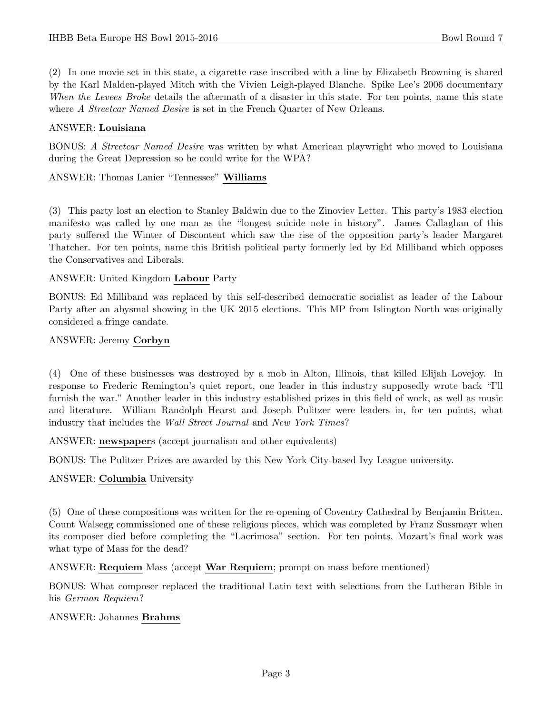(2) In one movie set in this state, a cigarette case inscribed with a line by Elizabeth Browning is shared by the Karl Malden-played Mitch with the Vivien Leigh-played Blanche. Spike Lee's 2006 documentary When the Levees Broke details the aftermath of a disaster in this state. For ten points, name this state where A Streetcar Named Desire is set in the French Quarter of New Orleans.

#### ANSWER: Louisiana

BONUS: A Streetcar Named Desire was written by what American playwright who moved to Louisiana during the Great Depression so he could write for the WPA?

ANSWER: Thomas Lanier "Tennessee" Williams

(3) This party lost an election to Stanley Baldwin due to the Zinoviev Letter. This party's 1983 election manifesto was called by one man as the "longest suicide note in history". James Callaghan of this party suffered the Winter of Discontent which saw the rise of the opposition party's leader Margaret Thatcher. For ten points, name this British political party formerly led by Ed Milliband which opposes the Conservatives and Liberals.

#### ANSWER: United Kingdom Labour Party

BONUS: Ed Milliband was replaced by this self-described democratic socialist as leader of the Labour Party after an abysmal showing in the UK 2015 elections. This MP from Islington North was originally considered a fringe candate.

#### ANSWER: Jeremy Corbyn

(4) One of these businesses was destroyed by a mob in Alton, Illinois, that killed Elijah Lovejoy. In response to Frederic Remington's quiet report, one leader in this industry supposedly wrote back "I'll furnish the war." Another leader in this industry established prizes in this field of work, as well as music and literature. William Randolph Hearst and Joseph Pulitzer were leaders in, for ten points, what industry that includes the Wall Street Journal and New York Times?

ANSWER: newspapers (accept journalism and other equivalents)

BONUS: The Pulitzer Prizes are awarded by this New York City-based Ivy League university.

# ANSWER: Columbia University

(5) One of these compositions was written for the re-opening of Coventry Cathedral by Benjamin Britten. Count Walsegg commissioned one of these religious pieces, which was completed by Franz Sussmayr when its composer died before completing the "Lacrimosa" section. For ten points, Mozart's final work was what type of Mass for the dead?

ANSWER: Requiem Mass (accept War Requiem; prompt on mass before mentioned)

BONUS: What composer replaced the traditional Latin text with selections from the Lutheran Bible in his German Requiem?

#### ANSWER: Johannes Brahms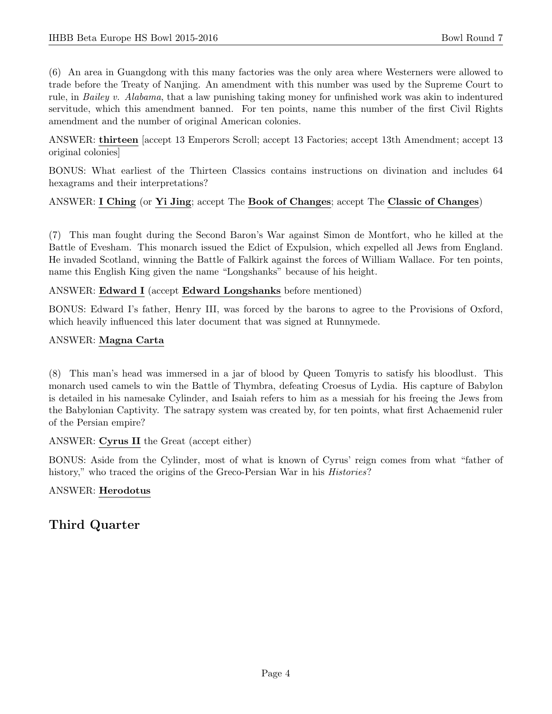(6) An area in Guangdong with this many factories was the only area where Westerners were allowed to trade before the Treaty of Nanjing. An amendment with this number was used by the Supreme Court to rule, in Bailey v. Alabama, that a law punishing taking money for unfinished work was akin to indentured servitude, which this amendment banned. For ten points, name this number of the first Civil Rights amendment and the number of original American colonies.

ANSWER: thirteen [accept 13 Emperors Scroll; accept 13 Factories; accept 13th Amendment; accept 13 original colonies]

BONUS: What earliest of the Thirteen Classics contains instructions on divination and includes 64 hexagrams and their interpretations?

# ANSWER: I Ching (or Yi Jing; accept The Book of Changes; accept The Classic of Changes)

(7) This man fought during the Second Baron's War against Simon de Montfort, who he killed at the Battle of Evesham. This monarch issued the Edict of Expulsion, which expelled all Jews from England. He invaded Scotland, winning the Battle of Falkirk against the forces of William Wallace. For ten points, name this English King given the name "Longshanks" because of his height.

#### ANSWER: Edward I (accept Edward Longshanks before mentioned)

BONUS: Edward I's father, Henry III, was forced by the barons to agree to the Provisions of Oxford, which heavily influenced this later document that was signed at Runnymede.

#### ANSWER: Magna Carta

(8) This man's head was immersed in a jar of blood by Queen Tomyris to satisfy his bloodlust. This monarch used camels to win the Battle of Thymbra, defeating Croesus of Lydia. His capture of Babylon is detailed in his namesake Cylinder, and Isaiah refers to him as a messiah for his freeing the Jews from the Babylonian Captivity. The satrapy system was created by, for ten points, what first Achaemenid ruler of the Persian empire?

# ANSWER: Cyrus II the Great (accept either)

BONUS: Aside from the Cylinder, most of what is known of Cyrus' reign comes from what "father of history," who traced the origins of the Greco-Persian War in his *Histories*?

# ANSWER: Herodotus

# Third Quarter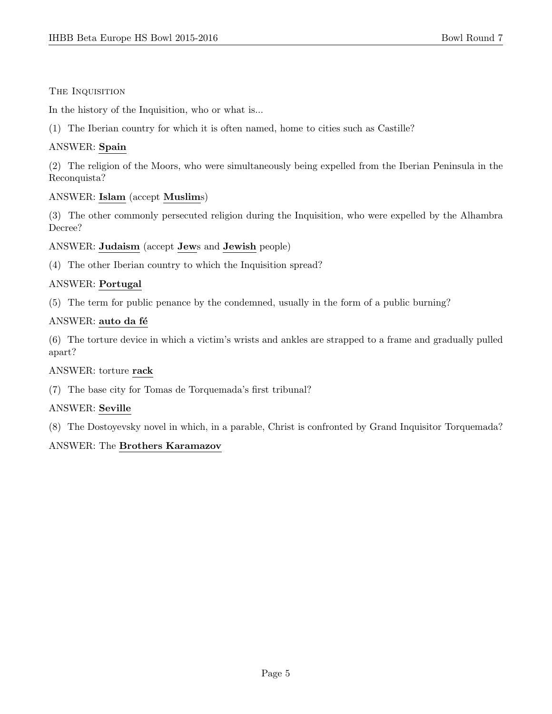# THE INQUISITION

In the history of the Inquisition, who or what is...

(1) The Iberian country for which it is often named, home to cities such as Castille?

# ANSWER: Spain

(2) The religion of the Moors, who were simultaneously being expelled from the Iberian Peninsula in the Reconquista?

# ANSWER: Islam (accept Muslims)

(3) The other commonly persecuted religion during the Inquisition, who were expelled by the Alhambra Decree?

ANSWER: Judaism (accept Jews and Jewish people)

(4) The other Iberian country to which the Inquisition spread?

# ANSWER: Portugal

(5) The term for public penance by the condemned, usually in the form of a public burning?

# ANSWER: auto da fé

(6) The torture device in which a victim's wrists and ankles are strapped to a frame and gradually pulled apart?

# ANSWER: torture rack

(7) The base city for Tomas de Torquemada's first tribunal?

# ANSWER: Seville

(8) The Dostoyevsky novel in which, in a parable, Christ is confronted by Grand Inquisitor Torquemada?

# ANSWER: The Brothers Karamazov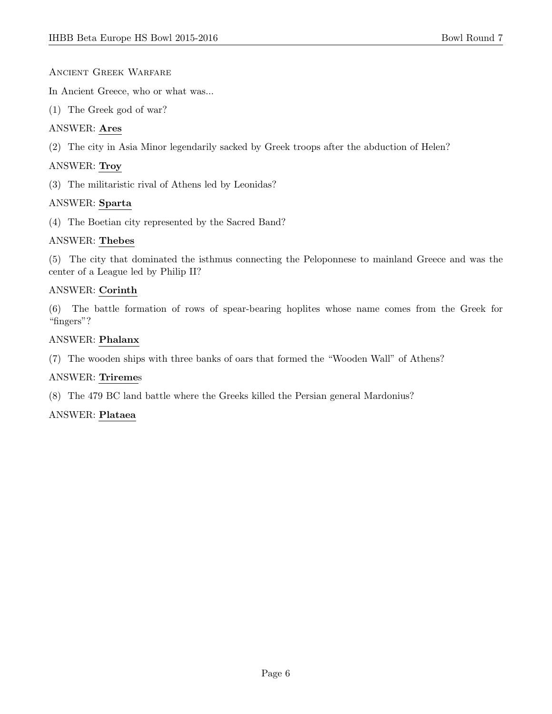# Ancient Greek Warfare

In Ancient Greece, who or what was...

(1) The Greek god of war?

# ANSWER: Ares

(2) The city in Asia Minor legendarily sacked by Greek troops after the abduction of Helen?

# ANSWER: Troy

(3) The militaristic rival of Athens led by Leonidas?

# ANSWER: Sparta

(4) The Boetian city represented by the Sacred Band?

# ANSWER: Thebes

(5) The city that dominated the isthmus connecting the Peloponnese to mainland Greece and was the center of a League led by Philip II?

# ANSWER: Corinth

(6) The battle formation of rows of spear-bearing hoplites whose name comes from the Greek for "fingers"?

# ANSWER: Phalanx

(7) The wooden ships with three banks of oars that formed the "Wooden Wall" of Athens?

# ANSWER: Triremes

(8) The 479 BC land battle where the Greeks killed the Persian general Mardonius?

# ANSWER: Plataea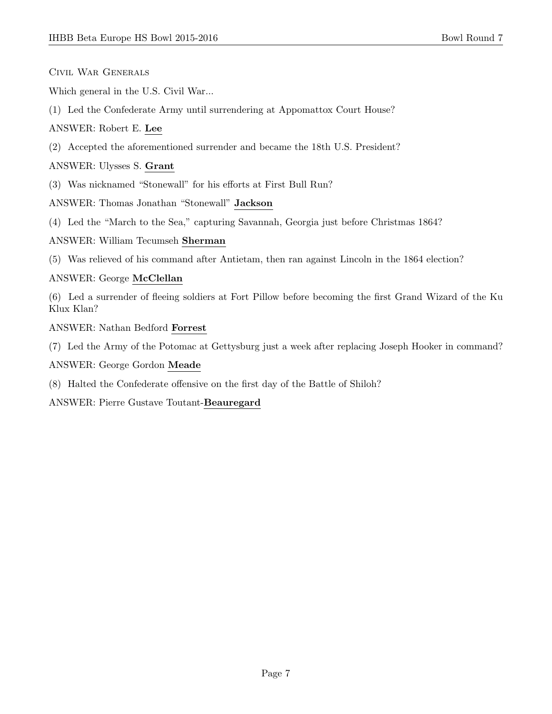Civil War Generals

Which general in the U.S. Civil War...

(1) Led the Confederate Army until surrendering at Appomattox Court House?

ANSWER: Robert E. Lee

(2) Accepted the aforementioned surrender and became the 18th U.S. President?

ANSWER: Ulysses S. Grant

(3) Was nicknamed "Stonewall" for his efforts at First Bull Run?

ANSWER: Thomas Jonathan "Stonewall" Jackson

(4) Led the "March to the Sea," capturing Savannah, Georgia just before Christmas 1864?

#### ANSWER: William Tecumseh Sherman

(5) Was relieved of his command after Antietam, then ran against Lincoln in the 1864 election?

#### ANSWER: George McClellan

(6) Led a surrender of fleeing soldiers at Fort Pillow before becoming the first Grand Wizard of the Ku Klux Klan?

ANSWER: Nathan Bedford Forrest

(7) Led the Army of the Potomac at Gettysburg just a week after replacing Joseph Hooker in command?

ANSWER: George Gordon Meade

(8) Halted the Confederate offensive on the first day of the Battle of Shiloh?

ANSWER: Pierre Gustave Toutant-Beauregard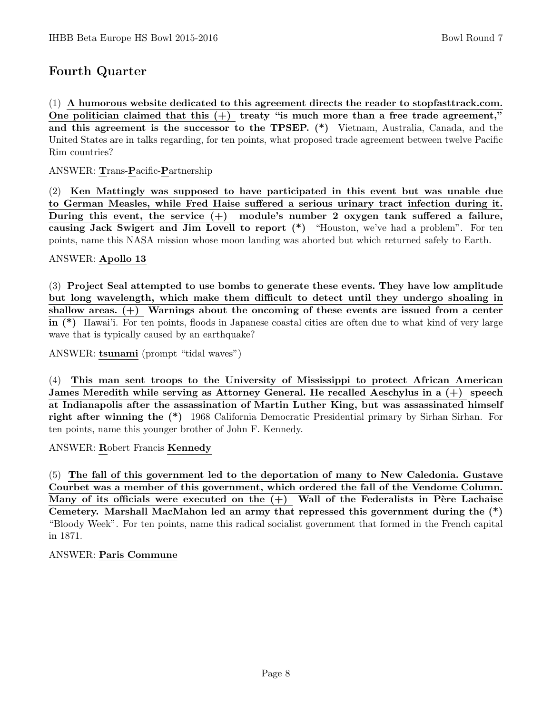# Fourth Quarter

(1) A humorous website dedicated to this agreement directs the reader to stopfasttrack.com. One politician claimed that this  $(+)$  treaty "is much more than a free trade agreement," and this agreement is the successor to the TPSEP. (\*) Vietnam, Australia, Canada, and the United States are in talks regarding, for ten points, what proposed trade agreement between twelve Pacific Rim countries?

ANSWER: Trans-Pacific-Partnership

(2) Ken Mattingly was supposed to have participated in this event but was unable due to German Measles, while Fred Haise suffered a serious urinary tract infection during it. During this event, the service  $(+)$  module's number 2 oxygen tank suffered a failure, causing Jack Swigert and Jim Lovell to report (\*) "Houston, we've had a problem". For ten points, name this NASA mission whose moon landing was aborted but which returned safely to Earth.

#### ANSWER: Apollo 13

(3) Project Seal attempted to use bombs to generate these events. They have low amplitude but long wavelength, which make them difficult to detect until they undergo shoaling in shallow areas.  $(+)$  Warnings about the oncoming of these events are issued from a center in (\*) Hawai'i. For ten points, floods in Japanese coastal cities are often due to what kind of very large wave that is typically caused by an earthquake?

ANSWER: tsunami (prompt "tidal waves")

(4) This man sent troops to the University of Mississippi to protect African American James Meredith while serving as Attorney General. He recalled Aeschylus in a (+) speech at Indianapolis after the assassination of Martin Luther King, but was assassinated himself right after winning the (\*) 1968 California Democratic Presidential primary by Sirhan Sirhan. For ten points, name this younger brother of John F. Kennedy.

ANSWER: Robert Francis Kennedy

(5) The fall of this government led to the deportation of many to New Caledonia. Gustave Courbet was a member of this government, which ordered the fall of the Vendome Column. Many of its officials were executed on the  $(+)$  Wall of the Federalists in Père Lachaise Cemetery. Marshall MacMahon led an army that repressed this government during the (\*) "Bloody Week". For ten points, name this radical socialist government that formed in the French capital in 1871.

# ANSWER: Paris Commune